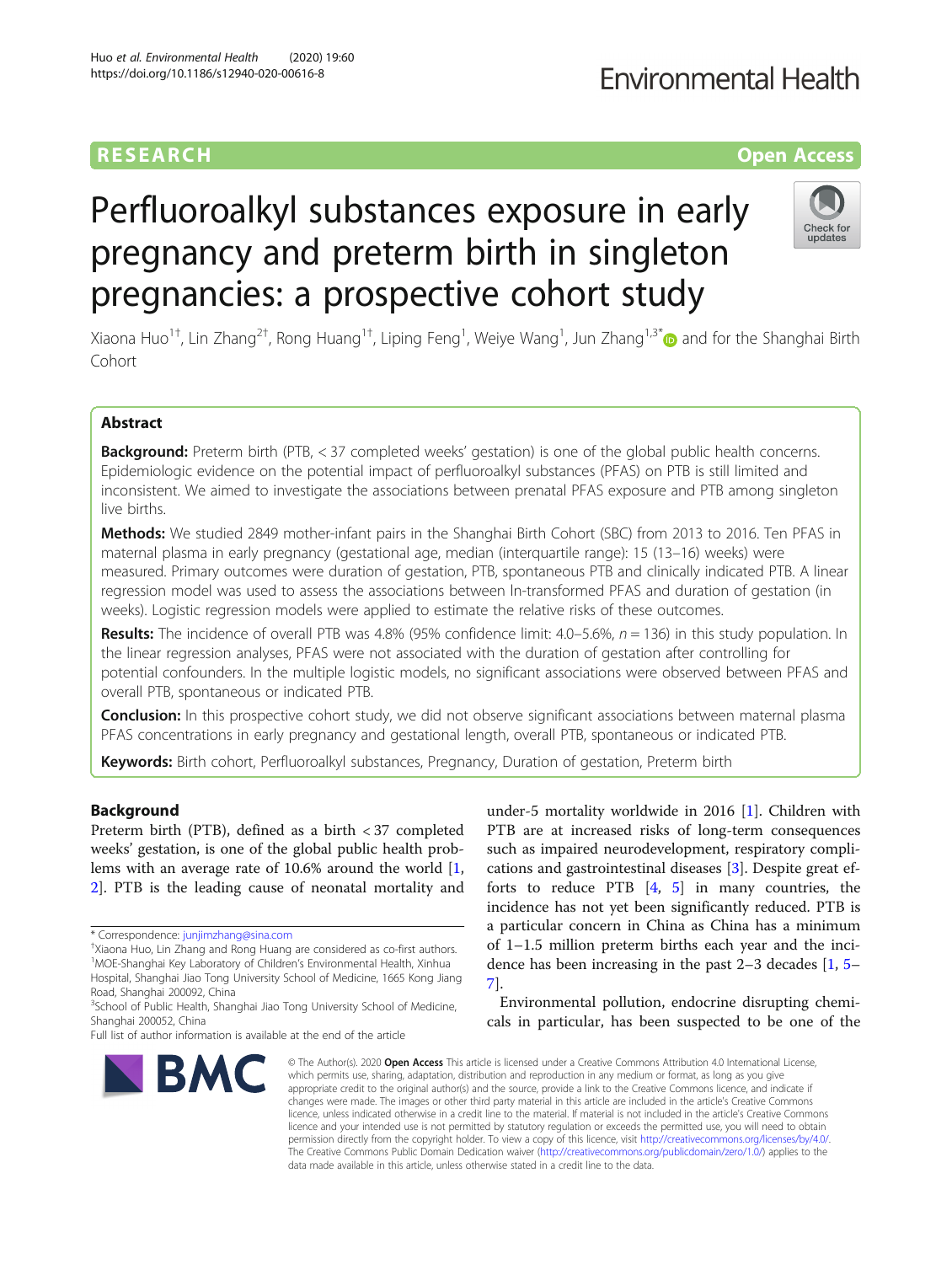## **RESEARCH CHE Open Access**

# **Environmental Health**

# Perfluoroalkyl substances exposure in early pregnancy and preterm birth in singleton pregnancies: a prospective cohort study



Xiaona Huo<sup>1†</sup>, Lin Zhang<sup>2†</sup>, Rong Huang<sup>1†</sup>, Liping Feng<sup>1</sup>, Weiye Wang<sup>1</sup>, Jun Zhang<sup>1,3\*</sup>© and for the Shanghai Birth Cohort

### Abstract

Background: Preterm birth (PTB, < 37 completed weeks' gestation) is one of the global public health concerns. Epidemiologic evidence on the potential impact of perfluoroalkyl substances (PFAS) on PTB is still limited and inconsistent. We aimed to investigate the associations between prenatal PFAS exposure and PTB among singleton live births.

Methods: We studied 2849 mother-infant pairs in the Shanghai Birth Cohort (SBC) from 2013 to 2016. Ten PFAS in maternal plasma in early pregnancy (gestational age, median (interquartile range): 15 (13–16) weeks) were measured. Primary outcomes were duration of gestation, PTB, spontaneous PTB and clinically indicated PTB. A linear regression model was used to assess the associations between ln-transformed PFAS and duration of gestation (in weeks). Logistic regression models were applied to estimate the relative risks of these outcomes.

Results: The incidence of overall PTB was 4.8% (95% confidence limit:  $4.0-5.6%$ ,  $n = 136$ ) in this study population. In the linear regression analyses, PFAS were not associated with the duration of gestation after controlling for potential confounders. In the multiple logistic models, no significant associations were observed between PFAS and overall PTB, spontaneous or indicated PTB.

**Conclusion:** In this prospective cohort study, we did not observe significant associations between maternal plasma PFAS concentrations in early pregnancy and gestational length, overall PTB, spontaneous or indicated PTB.

Keywords: Birth cohort, Perfluoroalkyl substances, Pregnancy, Duration of gestation, Preterm birth

#### Background

Preterm birth (PTB), defined as a birth < 37 completed weeks' gestation, is one of the global public health problems with an average rate of 10.6% around the world [\[1](#page-6-0), [2\]](#page-6-0). PTB is the leading cause of neonatal mortality and



Environmental pollution, endocrine disrupting chemicals in particular, has been suspected to be one of the



© The Author(s), 2020 **Open Access** This article is licensed under a Creative Commons Attribution 4.0 International License, which permits use, sharing, adaptation, distribution and reproduction in any medium or format, as long as you give appropriate credit to the original author(s) and the source, provide a link to the Creative Commons licence, and indicate if changes were made. The images or other third party material in this article are included in the article's Creative Commons licence, unless indicated otherwise in a credit line to the material. If material is not included in the article's Creative Commons licence and your intended use is not permitted by statutory regulation or exceeds the permitted use, you will need to obtain permission directly from the copyright holder. To view a copy of this licence, visit [http://creativecommons.org/licenses/by/4.0/.](http://creativecommons.org/licenses/by/4.0/) The Creative Commons Public Domain Dedication waiver [\(http://creativecommons.org/publicdomain/zero/1.0/](http://creativecommons.org/publicdomain/zero/1.0/)) applies to the data made available in this article, unless otherwise stated in a credit line to the data.

<sup>\*</sup> Correspondence: [junjimzhang@sina.com](mailto:junjimzhang@sina.com) †

<sup>&</sup>lt;sup>+</sup>Xiaona Huo, Lin Zhang and Rong Huang are considered as co-first authors. <sup>1</sup>MOE-Shanghai Key Laboratory of Children's Environmental Health, Xinhua Hospital, Shanghai Jiao Tong University School of Medicine, 1665 Kong Jiang Road, Shanghai 200092, China

<sup>&</sup>lt;sup>3</sup>School of Public Health, Shanghai Jiao Tong University School of Medicine, Shanghai 200052, China

Full list of author information is available at the end of the article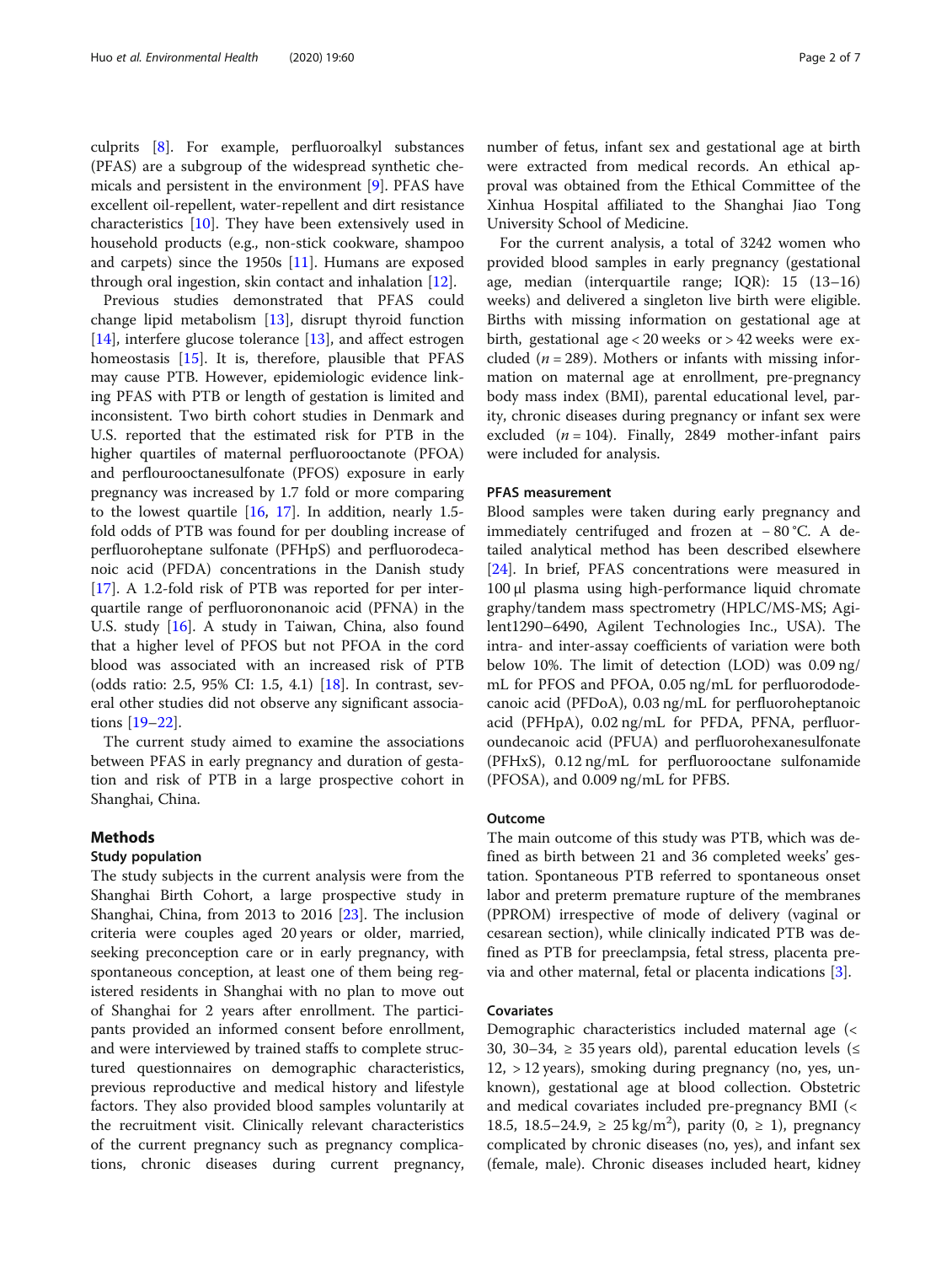culprits [\[8](#page-6-0)]. For example, perfluoroalkyl substances (PFAS) are a subgroup of the widespread synthetic chemicals and persistent in the environment [[9\]](#page-6-0). PFAS have excellent oil-repellent, water-repellent and dirt resistance characteristics [[10\]](#page-6-0). They have been extensively used in household products (e.g., non-stick cookware, shampoo and carpets) since the 1950s [[11](#page-6-0)]. Humans are exposed through oral ingestion, skin contact and inhalation [[12\]](#page-6-0).

Previous studies demonstrated that PFAS could change lipid metabolism [\[13](#page-6-0)], disrupt thyroid function [[14\]](#page-6-0), interfere glucose tolerance [[13\]](#page-6-0), and affect estrogen homeostasis [[15\]](#page-6-0). It is, therefore, plausible that PFAS may cause PTB. However, epidemiologic evidence linking PFAS with PTB or length of gestation is limited and inconsistent. Two birth cohort studies in Denmark and U.S. reported that the estimated risk for PTB in the higher quartiles of maternal perfluorooctanote (PFOA) and perflourooctanesulfonate (PFOS) exposure in early pregnancy was increased by 1.7 fold or more comparing to the lowest quartile [\[16,](#page-6-0) [17](#page-6-0)]. In addition, nearly 1.5 fold odds of PTB was found for per doubling increase of perfluoroheptane sulfonate (PFHpS) and perfluorodecanoic acid (PFDA) concentrations in the Danish study [[17\]](#page-6-0). A 1.2-fold risk of PTB was reported for per interquartile range of perfluorononanoic acid (PFNA) in the U.S. study [\[16](#page-6-0)]. A study in Taiwan, China, also found that a higher level of PFOS but not PFOA in the cord blood was associated with an increased risk of PTB (odds ratio: 2.5, 95% CI: 1.5, 4.1) [\[18](#page-6-0)]. In contrast, several other studies did not observe any significant associations [[19](#page-6-0)–[22](#page-6-0)].

The current study aimed to examine the associations between PFAS in early pregnancy and duration of gestation and risk of PTB in a large prospective cohort in Shanghai, China.

#### Methods

#### Study population

The study subjects in the current analysis were from the Shanghai Birth Cohort, a large prospective study in Shanghai, China, from 2013 to 2016 [[23\]](#page-6-0). The inclusion criteria were couples aged 20 years or older, married, seeking preconception care or in early pregnancy, with spontaneous conception, at least one of them being registered residents in Shanghai with no plan to move out of Shanghai for 2 years after enrollment. The participants provided an informed consent before enrollment, and were interviewed by trained staffs to complete structured questionnaires on demographic characteristics, previous reproductive and medical history and lifestyle factors. They also provided blood samples voluntarily at the recruitment visit. Clinically relevant characteristics of the current pregnancy such as pregnancy complications, chronic diseases during current pregnancy,

number of fetus, infant sex and gestational age at birth were extracted from medical records. An ethical approval was obtained from the Ethical Committee of the Xinhua Hospital affiliated to the Shanghai Jiao Tong University School of Medicine.

For the current analysis, a total of 3242 women who provided blood samples in early pregnancy (gestational age, median (interquartile range; IQR): 15 (13–16) weeks) and delivered a singleton live birth were eligible. Births with missing information on gestational age at birth, gestational age < 20 weeks or > 42 weeks were excluded ( $n = 289$ ). Mothers or infants with missing information on maternal age at enrollment, pre-pregnancy body mass index (BMI), parental educational level, parity, chronic diseases during pregnancy or infant sex were excluded  $(n = 104)$ . Finally, 2849 mother-infant pairs were included for analysis.

#### PFAS measurement

Blood samples were taken during early pregnancy and immediately centrifuged and frozen at − 80 °C. A detailed analytical method has been described elsewhere [[24\]](#page-6-0). In brief, PFAS concentrations were measured in 100 μl plasma using high-performance liquid chromate graphy/tandem mass spectrometry (HPLC/MS-MS; Agilent1290–6490, Agilent Technologies Inc., USA). The intra- and inter-assay coefficients of variation were both below 10%. The limit of detection (LOD) was 0.09 ng/ mL for PFOS and PFOA, 0.05 ng/mL for perfluorododecanoic acid (PFDoA), 0.03 ng/mL for perfluoroheptanoic acid (PFHpA), 0.02 ng/mL for PFDA, PFNA, perfluoroundecanoic acid (PFUA) and perfluorohexanesulfonate (PFHxS), 0.12 ng/mL for perfluorooctane sulfonamide (PFOSA), and 0.009 ng/mL for PFBS.

#### Outcome

The main outcome of this study was PTB, which was defined as birth between 21 and 36 completed weeks' gestation. Spontaneous PTB referred to spontaneous onset labor and preterm premature rupture of the membranes (PPROM) irrespective of mode of delivery (vaginal or cesarean section), while clinically indicated PTB was defined as PTB for preeclampsia, fetal stress, placenta previa and other maternal, fetal or placenta indications [[3\]](#page-6-0).

#### Covariates

Demographic characteristics included maternal age (< 30, 30–34,  $\geq$  35 years old), parental education levels ( $\leq$ 12, > 12 years), smoking during pregnancy (no, yes, unknown), gestational age at blood collection. Obstetric and medical covariates included pre-pregnancy BMI (< 18.5, 18.5−24.9, ≥ 25 kg/m<sup>2</sup>), parity (0, ≥ 1), pregnancy complicated by chronic diseases (no, yes), and infant sex (female, male). Chronic diseases included heart, kidney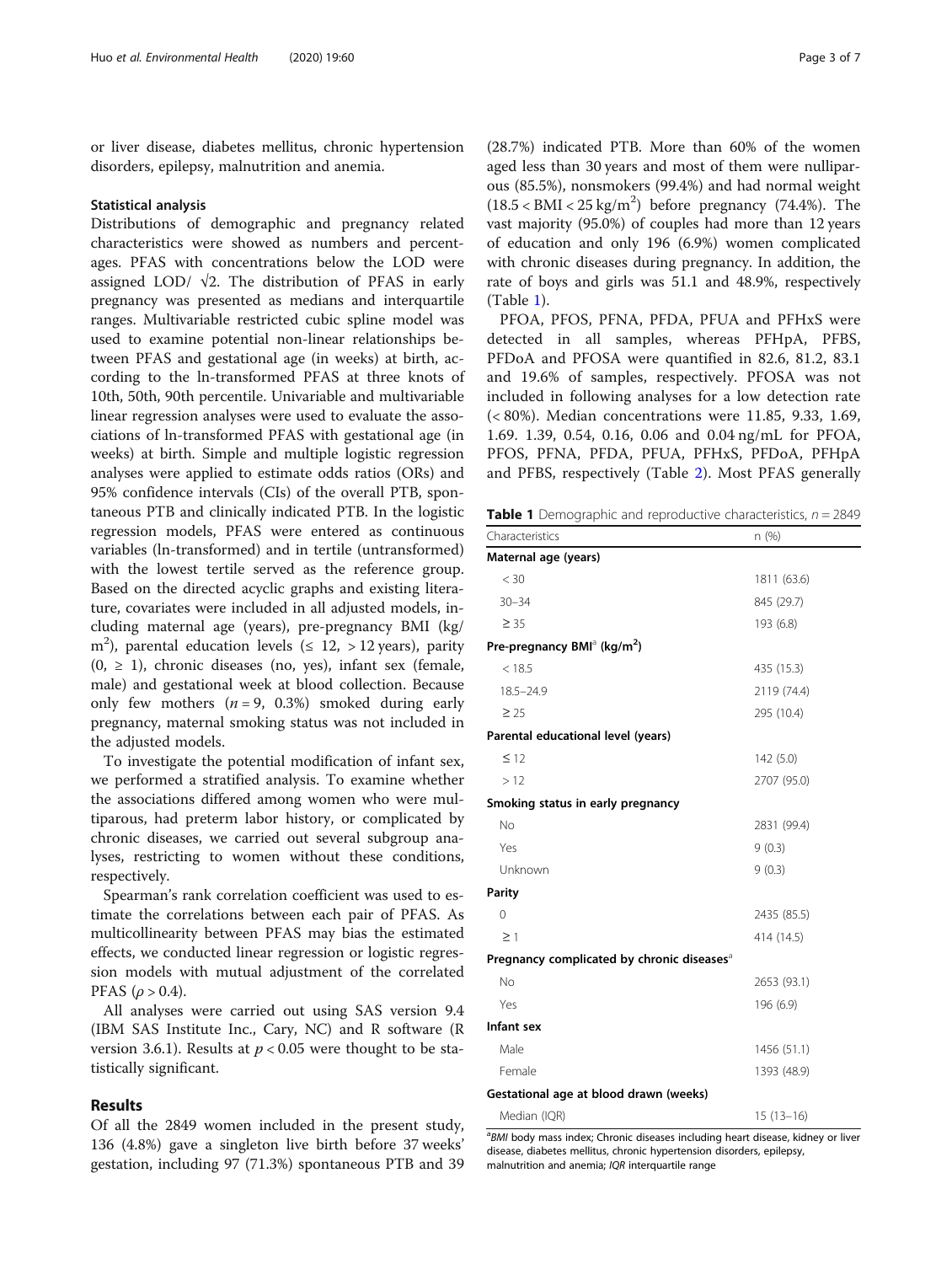or liver disease, diabetes mellitus, chronic hypertension disorders, epilepsy, malnutrition and anemia.

#### Statistical analysis

Distributions of demographic and pregnancy related characteristics were showed as numbers and percentages. PFAS with concentrations below the LOD were assigned LOD/  $\sqrt{2}$ . The distribution of PFAS in early pregnancy was presented as medians and interquartile ranges. Multivariable restricted cubic spline model was used to examine potential non-linear relationships between PFAS and gestational age (in weeks) at birth, according to the ln-transformed PFAS at three knots of 10th, 50th, 90th percentile. Univariable and multivariable linear regression analyses were used to evaluate the associations of ln-transformed PFAS with gestational age (in weeks) at birth. Simple and multiple logistic regression analyses were applied to estimate odds ratios (ORs) and 95% confidence intervals (CIs) of the overall PTB, spontaneous PTB and clinically indicated PTB. In the logistic regression models, PFAS were entered as continuous variables (ln-transformed) and in tertile (untransformed) with the lowest tertile served as the reference group. Based on the directed acyclic graphs and existing literature, covariates were included in all adjusted models, including maternal age (years), pre-pregnancy BMI (kg/ m<sup>2</sup>), parental education levels ( $\leq 12$ ,  $> 12$  years), parity  $(0, \geq 1)$ , chronic diseases (no, yes), infant sex (female, male) and gestational week at blood collection. Because only few mothers  $(n = 9, 0.3%)$  smoked during early pregnancy, maternal smoking status was not included in the adjusted models.

To investigate the potential modification of infant sex, we performed a stratified analysis. To examine whether the associations differed among women who were multiparous, had preterm labor history, or complicated by chronic diseases, we carried out several subgroup analyses, restricting to women without these conditions, respectively.

Spearman's rank correlation coefficient was used to estimate the correlations between each pair of PFAS. As multicollinearity between PFAS may bias the estimated effects, we conducted linear regression or logistic regression models with mutual adjustment of the correlated PFAS ( $ρ$  > 0.4).

All analyses were carried out using SAS version 9.4 (IBM SAS Institute Inc., Cary, NC) and R software (R version 3.6.1). Results at  $p < 0.05$  were thought to be statistically significant.

#### Results

Of all the 2849 women included in the present study, 136 (4.8%) gave a singleton live birth before 37 weeks' gestation, including 97 (71.3%) spontaneous PTB and 39

(28.7%) indicated PTB. More than 60% of the women aged less than 30 years and most of them were nulliparous (85.5%), nonsmokers (99.4%) and had normal weight  $(18.5 < BMI < 25 kg/m<sup>2</sup>)$  before pregnancy (74.4%). The vast majority (95.0%) of couples had more than 12 years of education and only 196 (6.9%) women complicated with chronic diseases during pregnancy. In addition, the rate of boys and girls was 51.1 and 48.9%, respectively (Table 1).

PFOA, PFOS, PFNA, PFDA, PFUA and PFHxS were detected in all samples, whereas PFHpA, PFBS, PFDoA and PFOSA were quantified in 82.6, 81.2, 83.1 and 19.6% of samples, respectively. PFOSA was not included in following analyses for a low detection rate (< 80%). Median concentrations were 11.85, 9.33, 1.69, 1.69. 1.39, 0.54, 0.16, 0.06 and 0.04 ng/mL for PFOA, PFOS, PFNA, PFDA, PFUA, PFHxS, PFDoA, PFHpA and PFBS, respectively (Table [2\)](#page-3-0). Most PFAS generally

**Table 1** Demographic and reproductive characteristics,  $n = 2849$ 

| Characteristics                                        | n(%)        |
|--------------------------------------------------------|-------------|
| Maternal age (years)                                   |             |
| $<$ 30                                                 | 1811 (63.6) |
| $30 - 34$                                              | 845 (29.7)  |
| $\geq 35$                                              | 193 (6.8)   |
| Pre-pregnancy BMI <sup>a</sup> (kg/m <sup>2</sup> )    |             |
| < 18.5                                                 | 435 (15.3)  |
| $18.5 - 24.9$                                          | 2119 (74.4) |
| $\geq$ 25                                              | 295 (10.4)  |
| Parental educational level (years)                     |             |
| $\leq$ 12                                              | 142 (5.0)   |
| >12                                                    | 2707 (95.0) |
| Smoking status in early pregnancy                      |             |
| <b>No</b>                                              | 2831 (99.4) |
| Yes                                                    | 9(0.3)      |
| Unknown                                                | 9(0.3)      |
| Parity                                                 |             |
| $\Omega$                                               | 2435 (85.5) |
| $\geq$ 1                                               | 414 (14.5)  |
| Pregnancy complicated by chronic diseases <sup>a</sup> |             |
| <b>No</b>                                              | 2653 (93.1) |
| Yes                                                    | 196 (6.9)   |
| Infant sex                                             |             |
| Male                                                   | 1456 (51.1) |
| Female                                                 | 1393 (48.9) |
| Gestational age at blood drawn (weeks)                 |             |
| Median (IQR)                                           | $15(13-16)$ |

<sup>a</sup>BMI body mass index; Chronic diseases including heart disease, kidney or liver disease, diabetes mellitus, chronic hypertension disorders, epilepsy, malnutrition and anemia; IQR interquartile range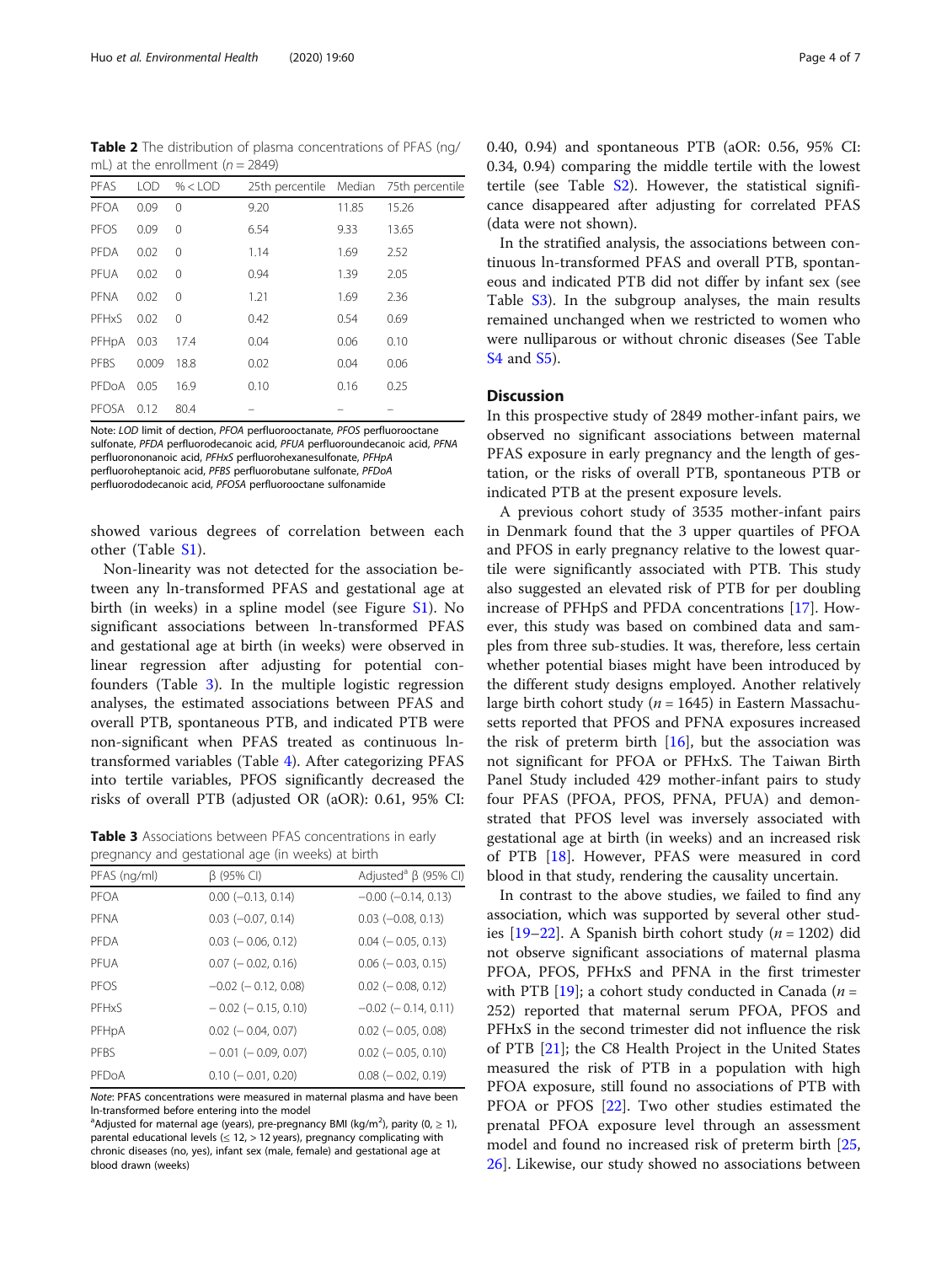<span id="page-3-0"></span>Table 2 The distribution of plasma concentrations of PFAS (ng/ mL) at the enrollment  $(n = 2849)$ 

| PFAS        | <b>LOD</b> | $% <$ LOD | 25th percentile Median |       | 75th percentile |
|-------------|------------|-----------|------------------------|-------|-----------------|
| PFOA        | 0.09       | $\Omega$  | 9.20                   | 11.85 | 15.26           |
| PFOS        | 0.09       | 0         | 6.54                   | 9.33  | 13.65           |
| PFDA        | 0.02       | 0         | 1.14                   | 1.69  | 2.52            |
| PFUA        | 0.02       | 0         | 0.94                   | 1.39  | 2.05            |
| <b>PFNA</b> | 0.02       | 0         | 1.21                   | 1.69  | 2.36            |
| PFHxS       | 0.02       | 0         | 0.42                   | 0.54  | 0.69            |
| PFHpA       | 0.03       | 17.4      | 0.04                   | 0.06  | 0.10            |
| PFBS        | 0.009      | 18.8      | 0.02                   | 0.04  | 0.06            |
| PFDoA       | 0.05       | 16.9      | 0.10                   | 0.16  | 0.25            |
| PFOSA       | 0.12       | 80.4      |                        |       |                 |
|             |            |           |                        |       |                 |

Note: LOD limit of dection, PFOA perfluorooctanate, PFOS perfluorooctane sulfonate, PFDA perfluorodecanoic acid, PFUA perfluoroundecanoic acid, PFNA perfluorononanoic acid, PFHxS perfluorohexanesulfonate, PFHpA perfluoroheptanoic acid, PFBS perfluorobutane sulfonate, PFDoA perfluorododecanoic acid, PFOSA perfluorooctane sulfonamide

showed various degrees of correlation between each other (Table [S1](#page-5-0)).

Non-linearity was not detected for the association between any ln-transformed PFAS and gestational age at birth (in weeks) in a spline model (see Figure [S1](#page-5-0)). No significant associations between ln-transformed PFAS and gestational age at birth (in weeks) were observed in linear regression after adjusting for potential confounders (Table 3). In the multiple logistic regression analyses, the estimated associations between PFAS and overall PTB, spontaneous PTB, and indicated PTB were non-significant when PFAS treated as continuous lntransformed variables (Table [4\)](#page-4-0). After categorizing PFAS into tertile variables, PFOS significantly decreased the risks of overall PTB (adjusted OR (aOR): 0.61, 95% CI:

Table 3 Associations between PFAS concentrations in early pregnancy and gestational age (in weeks) at birth

| <u>, a discussion di discussione di discussione di discussione di discussione di discussione di discussione di d</u> |                             |                                        |  |  |  |  |
|----------------------------------------------------------------------------------------------------------------------|-----------------------------|----------------------------------------|--|--|--|--|
| PFAS (ng/ml)                                                                                                         | $\beta$ (95% CI)            | Adjusted <sup>a</sup> $\beta$ (95% CI) |  |  |  |  |
| PFOA                                                                                                                 | $0.00$ ( $-0.13$ , $0.14$ ) | $-0.00$ $(-0.14, 0.13)$                |  |  |  |  |
| PFNA                                                                                                                 | $0.03$ ( $-0.07$ , $0.14$ ) | $0.03$ ( $-0.08$ , 0.13)               |  |  |  |  |
| PFDA                                                                                                                 | $0.03$ ( $-0.06$ , 0.12)    | $0.04$ ( $-0.05$ , 0.13)               |  |  |  |  |
| PFUA                                                                                                                 | $0.07$ ( $-0.02$ , 0.16)    | $0.06$ ( $-0.03$ , 0.15)               |  |  |  |  |
| PFOS                                                                                                                 | $-0.02$ ( $-0.12$ , 0.08)   | $0.02$ ( $-0.08$ , 0.12)               |  |  |  |  |
| PFHxS                                                                                                                | $-0.02$ ( $-0.15$ , 0.10)   | $-0.02$ ( $-0.14$ , 0.11)              |  |  |  |  |
| PFHpA                                                                                                                | $0.02$ ( $-0.04$ , 0.07)    | $0.02$ ( $-0.05, 0.08$ )               |  |  |  |  |
| PFBS                                                                                                                 | $-0.01$ ( $-0.09$ , 0.07)   | $0.02$ ( $-0.05, 0.10$ )               |  |  |  |  |
| PEDOA                                                                                                                | $0.10 (-0.01, 0.20)$        | $0.08$ ( $-0.02$ , 0.19)               |  |  |  |  |

Note: PFAS concentrations were measured in maternal plasma and have been ln-transformed before entering into the model

<sup>a</sup>Adjusted for maternal age (years), pre-pregnancy BMI (kg/m<sup>2</sup>), parity (0,  $\geq$  1), parental educational levels ( $\leq$  12,  $>$  12 years), pregnancy complicating with chronic diseases (no, yes), infant sex (male, female) and gestational age at blood drawn (weeks)

0.40, 0.94) and spontaneous PTB (aOR: 0.56, 95% CI: 0.34, 0.94) comparing the middle tertile with the lowest tertile (see Table [S2\)](#page-5-0). However, the statistical significance disappeared after adjusting for correlated PFAS (data were not shown).

In the stratified analysis, the associations between continuous ln-transformed PFAS and overall PTB, spontaneous and indicated PTB did not differ by infant sex (see Table [S3\)](#page-5-0). In the subgroup analyses, the main results remained unchanged when we restricted to women who were nulliparous or without chronic diseases (See Table [S4](#page-5-0) and [S5](#page-5-0)).

#### **Discussion**

In this prospective study of 2849 mother-infant pairs, we observed no significant associations between maternal PFAS exposure in early pregnancy and the length of gestation, or the risks of overall PTB, spontaneous PTB or indicated PTB at the present exposure levels.

A previous cohort study of 3535 mother-infant pairs in Denmark found that the 3 upper quartiles of PFOA and PFOS in early pregnancy relative to the lowest quartile were significantly associated with PTB. This study also suggested an elevated risk of PTB for per doubling increase of PFHpS and PFDA concentrations [\[17\]](#page-6-0). However, this study was based on combined data and samples from three sub-studies. It was, therefore, less certain whether potential biases might have been introduced by the different study designs employed. Another relatively large birth cohort study ( $n = 1645$ ) in Eastern Massachusetts reported that PFOS and PFNA exposures increased the risk of preterm birth  $[16]$  $[16]$ , but the association was not significant for PFOA or PFHxS. The Taiwan Birth Panel Study included 429 mother-infant pairs to study four PFAS (PFOA, PFOS, PFNA, PFUA) and demonstrated that PFOS level was inversely associated with gestational age at birth (in weeks) and an increased risk of PTB [[18](#page-6-0)]. However, PFAS were measured in cord blood in that study, rendering the causality uncertain.

In contrast to the above studies, we failed to find any association, which was supported by several other studies  $[19–22]$  $[19–22]$  $[19–22]$ . A Spanish birth cohort study (*n* = 1202) did not observe significant associations of maternal plasma PFOA, PFOS, PFHxS and PFNA in the first trimester with PTB [[19\]](#page-6-0); a cohort study conducted in Canada ( $n =$ 252) reported that maternal serum PFOA, PFOS and PFHxS in the second trimester did not influence the risk of PTB [\[21\]](#page-6-0); the C8 Health Project in the United States measured the risk of PTB in a population with high PFOA exposure, still found no associations of PTB with PFOA or PFOS [\[22](#page-6-0)]. Two other studies estimated the prenatal PFOA exposure level through an assessment model and found no increased risk of preterm birth [[25](#page-6-0), [26\]](#page-6-0). Likewise, our study showed no associations between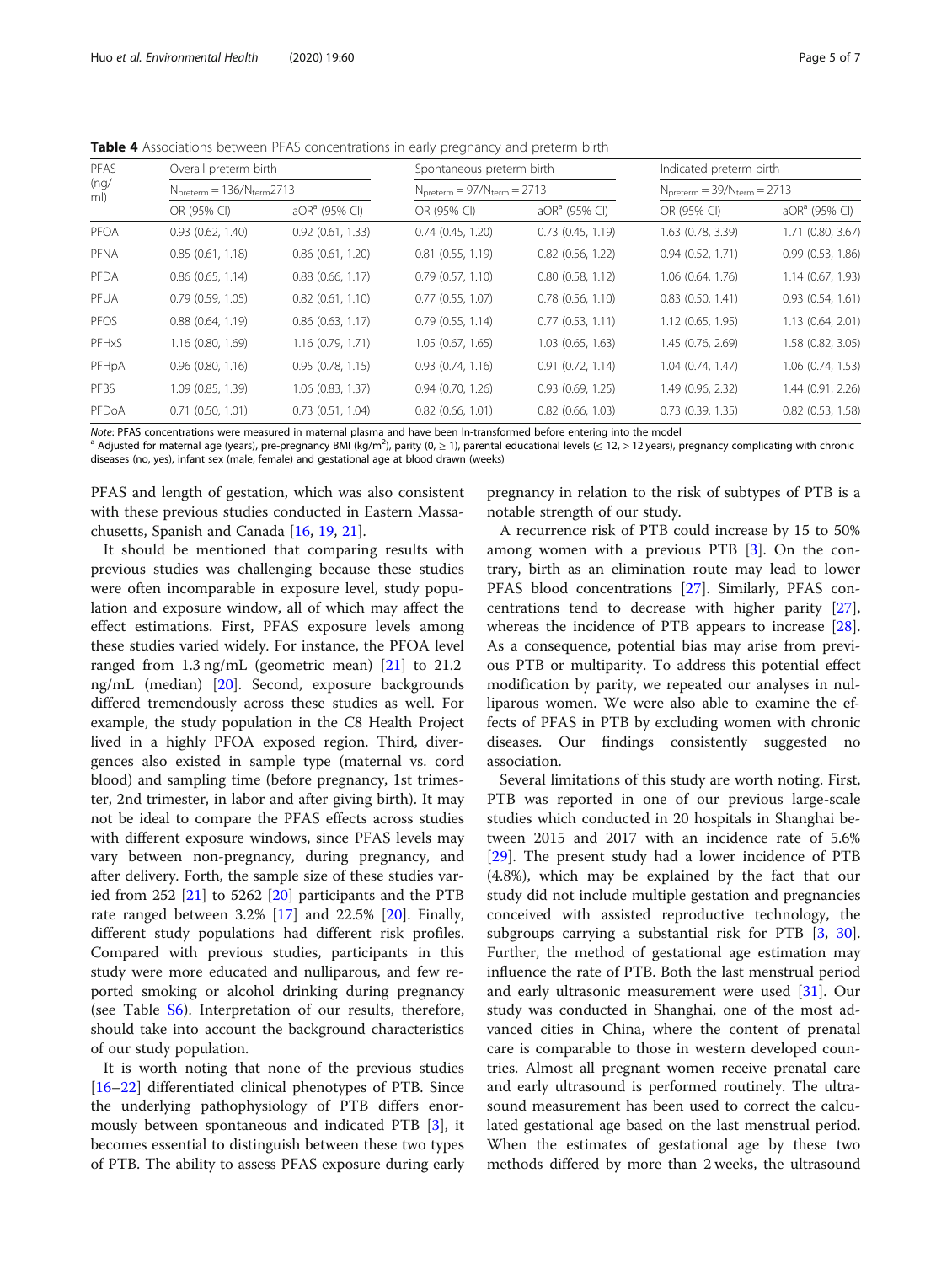| PFAS<br>(nq)<br>ml) |                       | Overall preterm birth<br>$N_{\text{preterm}} = 136/N_{\text{term}} 2713$ |                       | Spontaneous preterm birth<br>$N_{preterm} = 97/N_{term} = 2713$ |                   | Indicated preterm birth<br>$N_{\text{preterm}} = 39/N_{\text{term}} = 2713$ |  |
|---------------------|-----------------------|--------------------------------------------------------------------------|-----------------------|-----------------------------------------------------------------|-------------------|-----------------------------------------------------------------------------|--|
|                     |                       |                                                                          |                       |                                                                 |                   |                                                                             |  |
|                     | OR (95% CI)           | $aORa$ (95% CI)                                                          | OR (95% CI)           | $aORa$ (95% CI)                                                 | OR (95% CI)       | $aORa$ (95% CI)                                                             |  |
| PFOA                | 0.93(0.62, 1.40)      | 0.92(0.61, 1.33)                                                         | 0.74(0.45, 1.20)      | 0.73(0.45, 1.19)                                                | 1.63 (0.78, 3.39) | 1.71 (0.80, 3.67)                                                           |  |
| PFNA                | 0.85(0.61, 1.18)      | $0.86$ $(0.61, 1.20)$                                                    | $0.81$ $(0.55, 1.19)$ | $0.82$ (0.56, 1.22)                                             | 0.94(0.52, 1.71)  | 0.99(0.53, 1.86)                                                            |  |
| PFDA                | $0.86$ $(0.65, 1.14)$ | $0.88$ $(0.66, 1.17)$                                                    | 0.79(0.57, 1.10)      | 0.80(0.58, 1.12)                                                | 1.06(0.64, 1.76)  | 1.14(0.67, 1.93)                                                            |  |
| PFUA                | 0.79(0.59, 1.05)      | 0.82(0.61, 1.10)                                                         | 0.77(0.55, 1.07)      | $0.78$ $(0.56, 1.10)$                                           | 0.83(0.50, 1.41)  | 0.93(0.54, 1.61)                                                            |  |
| <b>PFOS</b>         | 0.88(0.64, 1.19)      | $0.86$ $(0.63, 1.17)$                                                    | 0.79(0.55, 1.14)      | 0.77(0.53, 1.11)                                                | 1.12(0.65, 1.95)  | 1.13 (0.64, 2.01)                                                           |  |
| PFHxS               | 1.16 (0.80, 1.69)     | 1.16(0.79, 1.71)                                                         | 1.05 (0.67, 1.65)     | 1.03(0.65, 1.63)                                                | 1.45 (0.76, 2.69) | 1.58 (0.82, 3.05)                                                           |  |
| PFHpA               | $0.96$ $(0.80, 1.16)$ | 0.95(0.78, 1.15)                                                         | 0.93(0.74, 1.16)      | 0.91(0.72, 1.14)                                                | 1.04(0.74, 1.47)  | 1.06 (0.74, 1.53)                                                           |  |
| PFBS                | 1.09 (0.85, 1.39)     | $1.06$ (0.83, 1.37)                                                      | 0.94(0.70, 1.26)      | 0.93(0.69, 1.25)                                                | 1.49 (0.96, 2.32) | 1.44 (0.91, 2.26)                                                           |  |
| PFDoA               | $0.71$ $(0.50, 1.01)$ | $0.73$ $(0.51, 1.04)$                                                    | $0.82$ (0.66, 1.01)   | $0.82$ (0.66, 1.03)                                             | 0.73(0.39, 1.35)  | $0.82$ $(0.53, 1.58)$                                                       |  |

<span id="page-4-0"></span>Table 4 Associations between PFAS concentrations in early pregnancy and preterm birth

Note: PFAS concentrations were measured in maternal plasma and have been In-transformed before entering into the model<br>ª Adjusted for maternal age (years), pre-pregnancy BMI (kg/m<sup>2</sup>), parity (0, ≥ 1), parental educationa diseases (no, yes), infant sex (male, female) and gestational age at blood drawn (weeks)

PFAS and length of gestation, which was also consistent with these previous studies conducted in Eastern Massachusetts, Spanish and Canada [\[16](#page-6-0), [19](#page-6-0), [21\]](#page-6-0).

It should be mentioned that comparing results with previous studies was challenging because these studies were often incomparable in exposure level, study population and exposure window, all of which may affect the effect estimations. First, PFAS exposure levels among these studies varied widely. For instance, the PFOA level ranged from 1.3 ng/mL (geometric mean) [\[21](#page-6-0)] to 21.2 ng/mL (median) [\[20](#page-6-0)]. Second, exposure backgrounds differed tremendously across these studies as well. For example, the study population in the C8 Health Project lived in a highly PFOA exposed region. Third, divergences also existed in sample type (maternal vs. cord blood) and sampling time (before pregnancy, 1st trimester, 2nd trimester, in labor and after giving birth). It may not be ideal to compare the PFAS effects across studies with different exposure windows, since PFAS levels may vary between non-pregnancy, during pregnancy, and after delivery. Forth, the sample size of these studies varied from 252 [[21](#page-6-0)] to 5262 [[20](#page-6-0)] participants and the PTB rate ranged between 3.2% [[17](#page-6-0)] and 22.5% [[20\]](#page-6-0). Finally, different study populations had different risk profiles. Compared with previous studies, participants in this study were more educated and nulliparous, and few reported smoking or alcohol drinking during pregnancy (see Table [S6\)](#page-5-0). Interpretation of our results, therefore, should take into account the background characteristics of our study population.

It is worth noting that none of the previous studies [[16](#page-6-0)–[22](#page-6-0)] differentiated clinical phenotypes of PTB. Since the underlying pathophysiology of PTB differs enormously between spontaneous and indicated PTB [\[3](#page-6-0)], it becomes essential to distinguish between these two types of PTB. The ability to assess PFAS exposure during early

pregnancy in relation to the risk of subtypes of PTB is a notable strength of our study.

A recurrence risk of PTB could increase by 15 to 50% among women with a previous PTB [\[3](#page-6-0)]. On the contrary, birth as an elimination route may lead to lower PFAS blood concentrations [\[27\]](#page-6-0). Similarly, PFAS concentrations tend to decrease with higher parity [\[27](#page-6-0)], whereas the incidence of PTB appears to increase [\[28](#page-6-0)]. As a consequence, potential bias may arise from previous PTB or multiparity. To address this potential effect modification by parity, we repeated our analyses in nulliparous women. We were also able to examine the effects of PFAS in PTB by excluding women with chronic diseases. Our findings consistently suggested no association.

Several limitations of this study are worth noting. First, PTB was reported in one of our previous large-scale studies which conducted in 20 hospitals in Shanghai between 2015 and 2017 with an incidence rate of 5.6% [[29\]](#page-6-0). The present study had a lower incidence of PTB (4.8%), which may be explained by the fact that our study did not include multiple gestation and pregnancies conceived with assisted reproductive technology, the subgroups carrying a substantial risk for PTB [\[3](#page-6-0), [30](#page-6-0)]. Further, the method of gestational age estimation may influence the rate of PTB. Both the last menstrual period and early ultrasonic measurement were used [\[31](#page-6-0)]. Our study was conducted in Shanghai, one of the most advanced cities in China, where the content of prenatal care is comparable to those in western developed countries. Almost all pregnant women receive prenatal care and early ultrasound is performed routinely. The ultrasound measurement has been used to correct the calculated gestational age based on the last menstrual period. When the estimates of gestational age by these two methods differed by more than 2 weeks, the ultrasound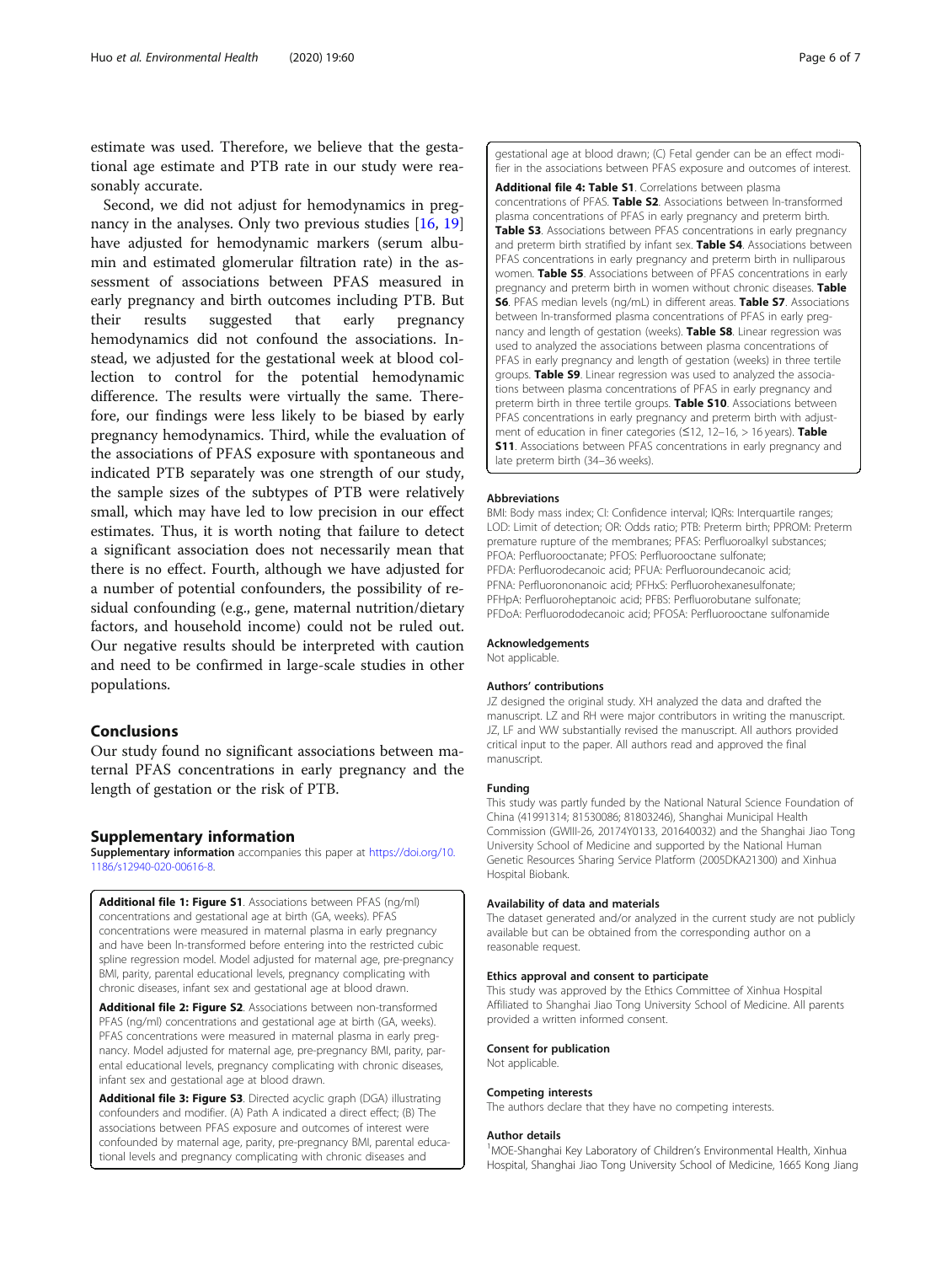<span id="page-5-0"></span>estimate was used. Therefore, we believe that the gestational age estimate and PTB rate in our study were reasonably accurate.

Second, we did not adjust for hemodynamics in pregnancy in the analyses. Only two previous studies [[16](#page-6-0), [19](#page-6-0)] have adjusted for hemodynamic markers (serum albumin and estimated glomerular filtration rate) in the assessment of associations between PFAS measured in early pregnancy and birth outcomes including PTB. But their results suggested that early pregnancy hemodynamics did not confound the associations. Instead, we adjusted for the gestational week at blood collection to control for the potential hemodynamic difference. The results were virtually the same. Therefore, our findings were less likely to be biased by early pregnancy hemodynamics. Third, while the evaluation of the associations of PFAS exposure with spontaneous and indicated PTB separately was one strength of our study, the sample sizes of the subtypes of PTB were relatively small, which may have led to low precision in our effect estimates. Thus, it is worth noting that failure to detect a significant association does not necessarily mean that there is no effect. Fourth, although we have adjusted for a number of potential confounders, the possibility of residual confounding (e.g., gene, maternal nutrition/dietary factors, and household income) could not be ruled out. Our negative results should be interpreted with caution and need to be confirmed in large-scale studies in other populations.

#### Conclusions

Our study found no significant associations between maternal PFAS concentrations in early pregnancy and the length of gestation or the risk of PTB.

#### Supplementary information

Supplementary information accompanies this paper at [https://doi.org/10.](https://doi.org/10.1186/s12940-020-00616-8) [1186/s12940-020-00616-8](https://doi.org/10.1186/s12940-020-00616-8).

Additional file 1: Figure S1. Associations between PFAS (ng/ml) concentrations and gestational age at birth (GA, weeks). PFAS concentrations were measured in maternal plasma in early pregnancy and have been ln-transformed before entering into the restricted cubic spline regression model. Model adjusted for maternal age, pre-pregnancy BMI, parity, parental educational levels, pregnancy complicating with chronic diseases, infant sex and gestational age at blood drawn.

Additional file 2: Figure S2. Associations between non-transformed PFAS (ng/ml) concentrations and gestational age at birth (GA, weeks). PFAS concentrations were measured in maternal plasma in early pregnancy. Model adjusted for maternal age, pre-pregnancy BMI, parity, parental educational levels, pregnancy complicating with chronic diseases, infant sex and gestational age at blood drawn.

Additional file 3: Figure S3. Directed acyclic graph (DGA) illustrating confounders and modifier. (A) Path A indicated a direct effect; (B) The associations between PFAS exposure and outcomes of interest were confounded by maternal age, parity, pre-pregnancy BMI, parental educational levels and pregnancy complicating with chronic diseases and

gestational age at blood drawn; (C) Fetal gender can be an effect modifier in the associations between PFAS exposure and outcomes of interest.

Additional file 4: Table S1. Correlations between plasma concentrations of PFAS. Table S2. Associations between ln-transformed plasma concentrations of PFAS in early pregnancy and preterm birth. Table S3. Associations between PFAS concentrations in early pregnancy and preterm birth stratified by infant sex. Table S4. Associations between PFAS concentrations in early pregnancy and preterm birth in nulliparous women. Table S5. Associations between of PFAS concentrations in early pregnancy and preterm birth in women without chronic diseases. Table S6. PFAS median levels (ng/mL) in different areas. Table S7. Associations between ln-transformed plasma concentrations of PFAS in early pregnancy and length of gestation (weeks). Table S8. Linear regression was used to analyzed the associations between plasma concentrations of PFAS in early pregnancy and length of gestation (weeks) in three tertile groups. Table S9. Linear regression was used to analyzed the associations between plasma concentrations of PFAS in early pregnancy and preterm birth in three tertile groups. Table S10. Associations between PFAS concentrations in early pregnancy and preterm birth with adjustment of education in finer categories (≤12, 12–16, > 16 years). Table **S11.** Associations between PFAS concentrations in early pregnancy and late preterm birth (34–36 weeks).

#### Abbreviations

BMI: Body mass index; CI: Confidence interval; IQRs: Interquartile ranges; LOD: Limit of detection; OR: Odds ratio; PTB: Preterm birth; PPROM: Preterm premature rupture of the membranes; PFAS: Perfluoroalkyl substances; PFOA: Perfluorooctanate; PFOS: Perfluorooctane sulfonate; PFDA: Perfluorodecanoic acid; PFUA: Perfluoroundecanoic acid; PFNA: Perfluorononanoic acid; PFHxS: Perfluorohexanesulfonate; PFHpA: Perfluoroheptanoic acid; PFBS: Perfluorobutane sulfonate; PFDoA: Perfluorododecanoic acid; PFOSA: Perfluorooctane sulfonamide

Acknowledgements

Not applicable.

#### Authors' contributions

JZ designed the original study. XH analyzed the data and drafted the manuscript. LZ and RH were major contributors in writing the manuscript. JZ, LF and WW substantially revised the manuscript. All authors provided critical input to the paper. All authors read and approved the final manuscript.

#### Funding

This study was partly funded by the National Natural Science Foundation of China (41991314; 81530086; 81803246), Shanghai Municipal Health Commission (GWIII-26, 20174Y0133, 201640032) and the Shanghai Jiao Tong University School of Medicine and supported by the National Human Genetic Resources Sharing Service Platform (2005DKA21300) and Xinhua Hospital Biobank.

#### Availability of data and materials

The dataset generated and/or analyzed in the current study are not publicly available but can be obtained from the corresponding author on a reasonable request.

#### Ethics approval and consent to participate

This study was approved by the Ethics Committee of Xinhua Hospital Affiliated to Shanghai Jiao Tong University School of Medicine. All parents provided a written informed consent.

#### Consent for publication

Not applicable.

#### Competing interests

The authors declare that they have no competing interests.

#### Author details

<sup>1</sup>MOE-Shanghai Key Laboratory of Children's Environmental Health, Xinhua Hospital, Shanghai Jiao Tong University School of Medicine, 1665 Kong Jiang